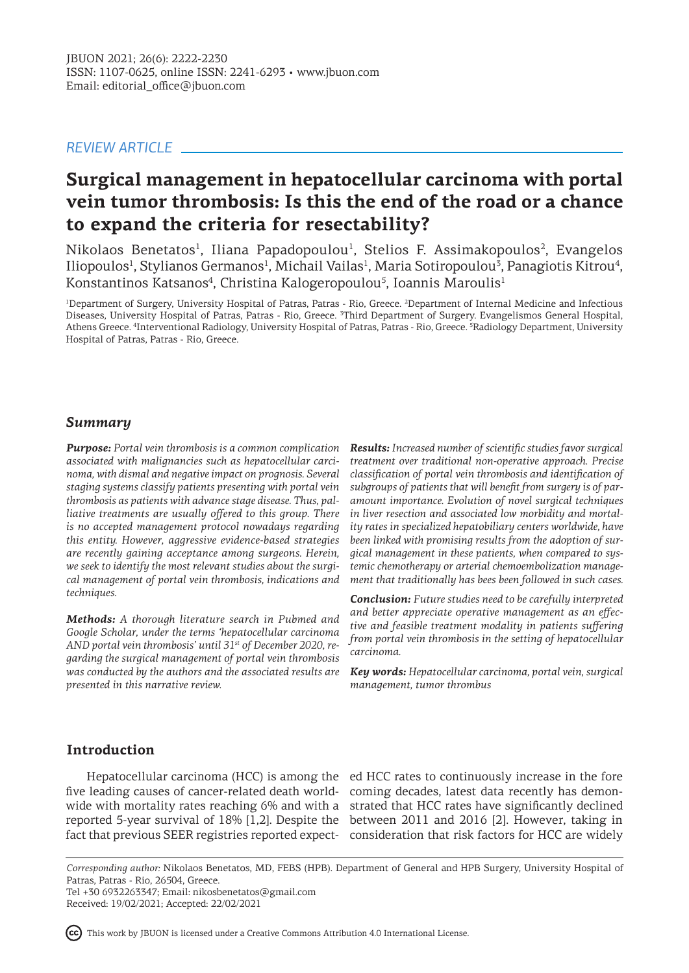## *REVIEW ARTICLE*

# **Surgical management in hepatocellular carcinoma with portal vein tumor thrombosis: Is this the end of the road or a chance to expand the criteria for resectability?**

 $Nikolaos$  Benetatos<sup>1</sup>, Iliana Papadopoulou<sup>1</sup>, Stelios F. Assimakopoulos<sup>2</sup>, Evangelos Iliopoulos<sup>1</sup>, Stylianos Germanos<sup>1</sup>, Michail Vailas<sup>1</sup>, Maria Sotiropoulou<sup>3</sup>, Panagiotis Kitrou<sup>4</sup>, Konstantinos Katsanos<sup>4</sup>, Christina Kalogeropoulou<sup>5</sup>, Ioannis Maroulis<sup>1</sup>

<sup>1</sup>Department of Surgery, University Hospital of Patras, Patras - Rio, Greece. <sup>2</sup>Department of Internal Medicine and Infectious Diseases, University Hospital of Patras, Patras - Rio, Greece. <sup>3</sup>Third Department of Surgery. Evangelismos General Hospital, Athens Greece. <sup>4</sup> Interventional Radiology, University Hospital of Patras, Patras - Rio, Greece. <sup>5</sup> Radiology Department, University Hospital of Patras, Patras - Rio, Greece.

## *Summary*

*Purpose: Portal vein thrombosis is a common complication associated with malignancies such as hepatocellular carcinoma, with dismal and negative impact on prognosis. Several staging systems classify patients presenting with portal vein thrombosis as patients with advance stage disease. Thus, palliative treatments are usually offered to this group. There is no accepted management protocol nowadays regarding this entity. However, aggressive evidence-based strategies are recently gaining acceptance among surgeons. Herein, we seek to identify the most relevant studies about the surgical management of portal vein thrombosis, indications and techniques.*

*Methods: A thorough literature search in Pubmed and Google Scholar, under the terms 'hepatocellular carcinoma AND portal vein thrombosis' until 31st of December 2020, regarding the surgical management of portal vein thrombosis was conducted by the authors and the associated results are presented in this narrative review.* 

*Results: Increased number of scientific studies favor surgical treatment over traditional non-operative approach. Precise classification of portal vein thrombosis and identification of subgroups of patients that will benefit from surgery is of paramount importance. Evolution of novel surgical techniques in liver resection and associated low morbidity and mortality rates in specialized hepatobiliary centers worldwide, have been linked with promising results from the adoption of surgical management in these patients, when compared to systemic chemotherapy or arterial chemoembolization management that traditionally has bees been followed in such cases.* 

*Conclusion: Future studies need to be carefully interpreted and better appreciate operative management as an effective and feasible treatment modality in patients suffering from portal vein thrombosis in the setting of hepatocellular carcinoma.*

*Key words: Hepatocellular carcinoma, portal vein, surgical management, tumor thrombus*

# **Introduction**

five leading causes of cancer-related death world- coming decades, latest data recently has demon-

Hepatocellular carcinoma (HCC) is among the ed HCC rates to continuously increase in the fore wide with mortality rates reaching 6% and with a strated that HCC rates have significantly declined reported 5-year survival of 18% [1,2]. Despite the between 2011 and 2016 [2]. However, taking in fact that previous SEER registries reported expect-consideration that risk factors for HCC are widely

*Corresponding author:* Nikolaos Benetatos, MD, FEBS (HPB). Department of General and HPB Surgery, University Hospital of Patras, Patras - Rio, 26504, Greece.

Tel +30 6932263347; Email: nikosbenetatos@gmail.com Received: 19/02/2021; Accepted: 22/02/2021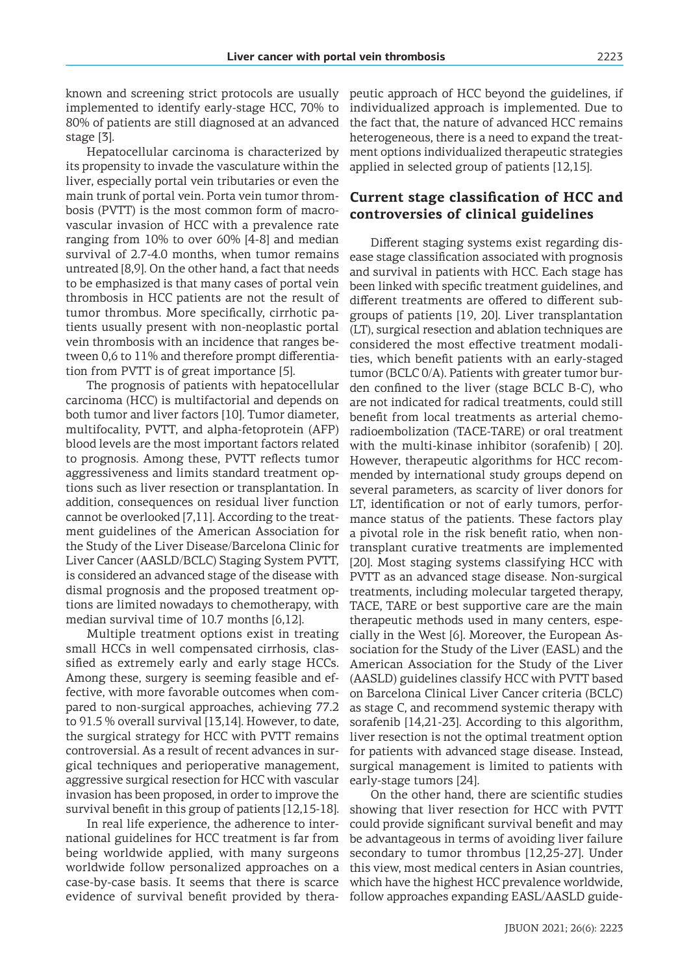known and screening strict protocols are usually implemented to identify early-stage HCC, 70% to 80% of patients are still diagnosed at an advanced stage [3].

Hepatocellular carcinoma is characterized by its propensity to invade the vasculature within the liver, especially portal vein tributaries or even the main trunk of portal vein. Porta vein tumor thrombosis (PVTT) is the most common form of macrovascular invasion of HCC with a prevalence rate ranging from 10% to over 60% [4-8] and median survival of 2.7-4.0 months, when tumor remains untreated [8,9]. On the other hand, a fact that needs to be emphasized is that many cases of portal vein thrombosis in HCC patients are not the result of tumor thrombus. More specifically, cirrhotic patients usually present with non-neoplastic portal vein thrombosis with an incidence that ranges between 0,6 to 11% and therefore prompt differentiation from PVTT is of great importance [5].

The prognosis of patients with hepatocellular carcinoma (HCC) is multifactorial and depends on both tumor and liver factors [10]. Tumor diameter, multifocality, PVTT, and alpha-fetoprotein (AFP) blood levels are the most important factors related to prognosis. Among these, PVTT reflects tumor aggressiveness and limits standard treatment options such as liver resection or transplantation. In addition, consequences on residual liver function cannot be overlooked [7,11]. According to the treatment guidelines of the American Association for the Study of the Liver Disease/Barcelona Clinic for Liver Cancer (AASLD/BCLC) Staging System PVTT, is considered an advanced stage of the disease with dismal prognosis and the proposed treatment options are limited nowadays to chemotherapy, with median survival time of 10.7 months [6,12].

Multiple treatment options exist in treating small HCCs in well compensated cirrhosis, classified as extremely early and early stage HCCs. Among these, surgery is seeming feasible and effective, with more favorable outcomes when compared to non-surgical approaches, achieving 77.2 to 91.5 % overall survival [13,14]. However, to date, the surgical strategy for HCC with PVTT remains controversial. As a result of recent advances in surgical techniques and perioperative management, aggressive surgical resection for HCC with vascular invasion has been proposed, in order to improve the survival benefit in this group of patients [12,15-18].

In real life experience, the adherence to international guidelines for HCC treatment is far from being worldwide applied, with many surgeons worldwide follow personalized approaches on a case-by-case basis. It seems that there is scarce evidence of survival benefit provided by therapeutic approach of HCC beyond the guidelines, if individualized approach is implemented. Due to the fact that, the nature of advanced HCC remains heterogeneous, there is a need to expand the treatment options individualized therapeutic strategies applied in selected group of patients [12,15].

# **Current stage classification of HCC and controversies of clinical guidelines**

Different staging systems exist regarding disease stage classification associated with prognosis and survival in patients with HCC. Each stage has been linked with specific treatment guidelines, and different treatments are offered to different subgroups of patients [19, 20]. Liver transplantation (LT), surgical resection and ablation techniques are considered the most effective treatment modalities, which benefit patients with an early-staged tumor (BCLC 0/A). Patients with greater tumor burden confined to the liver (stage BCLC B-C), who are not indicated for radical treatments, could still benefit from local treatments as arterial chemoradioembolization (TACE-TARE) or oral treatment with the multi-kinase inhibitor (sorafenib) [ 20]. However, therapeutic algorithms for HCC recommended by international study groups depend on several parameters, as scarcity of liver donors for LT, identification or not of early tumors, performance status of the patients. These factors play a pivotal role in the risk benefit ratio, when nontransplant curative treatments are implemented [20]. Most staging systems classifying HCC with PVTT as an advanced stage disease. Non-surgical treatments, including molecular targeted therapy, TACE, TARE or best supportive care are the main therapeutic methods used in many centers, especially in the West [6]. Moreover, the European Association for the Study of the Liver (EASL) and the American Association for the Study of the Liver (AASLD) guidelines classify HCC with PVTT based on Barcelona Clinical Liver Cancer criteria (BCLC) as stage C, and recommend systemic therapy with sorafenib [14,21-23]. According to this algorithm, liver resection is not the optimal treatment option for patients with advanced stage disease. Instead, surgical management is limited to patients with early-stage tumors [24].

On the other hand, there are scientific studies showing that liver resection for HCC with PVTT could provide significant survival benefit and may be advantageous in terms of avoiding liver failure secondary to tumor thrombus [12,25-27]. Under this view, most medical centers in Asian countries, which have the highest HCC prevalence worldwide, follow approaches expanding EASL/AASLD guide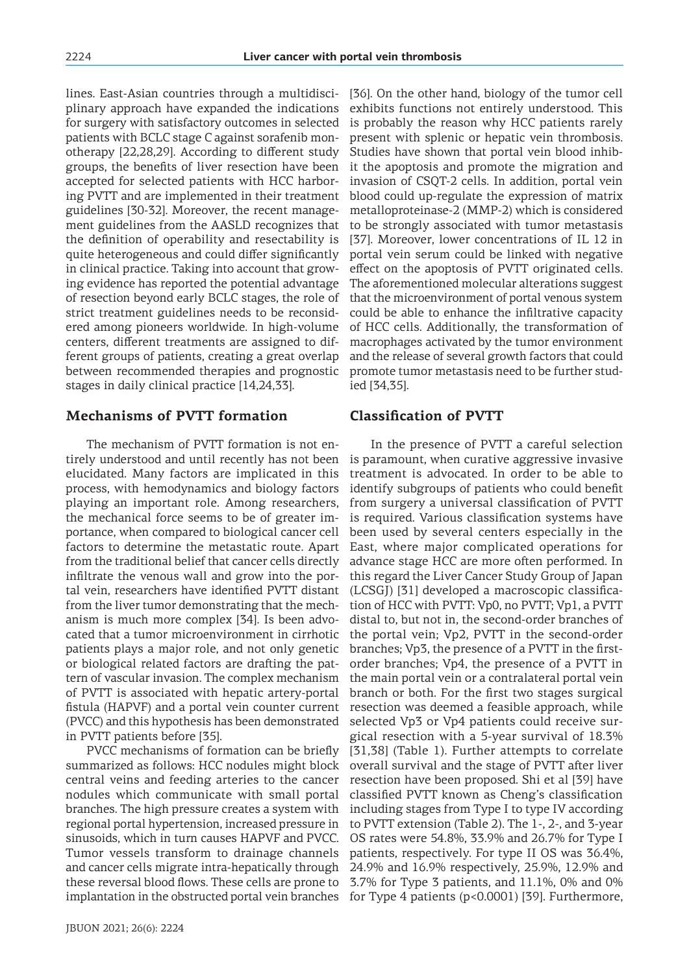lines. East-Asian countries through a multidisciplinary approach have expanded the indications for surgery with satisfactory outcomes in selected patients with BCLC stage C against sorafenib monotherapy [22,28,29]. According to different study groups, the benefits of liver resection have been accepted for selected patients with HCC harboring PVTT and are implemented in their treatment guidelines [30-32]. Moreover, the recent management guidelines from the AASLD recognizes that the definition of operability and resectability is quite heterogeneous and could differ significantly in clinical practice. Taking into account that growing evidence has reported the potential advantage of resection beyond early BCLC stages, the role of strict treatment guidelines needs to be reconsidered among pioneers worldwide. In high-volume centers, different treatments are assigned to different groups of patients, creating a great overlap between recommended therapies and prognostic stages in daily clinical practice [14,24,33].

## **Mechanisms of PVTT formation**

The mechanism of PVTT formation is not entirely understood and until recently has not been elucidated. Many factors are implicated in this process, with hemodynamics and biology factors playing an important role. Among researchers, the mechanical force seems to be of greater importance, when compared to biological cancer cell factors to determine the metastatic route. Apart from the traditional belief that cancer cells directly infiltrate the venous wall and grow into the portal vein, researchers have identified PVTT distant from the liver tumor demonstrating that the mechanism is much more complex [34]. Is been advocated that a tumor microenvironment in cirrhotic patients plays a major role, and not only genetic or biological related factors are drafting the pattern of vascular invasion. The complex mechanism of PVTT is associated with hepatic artery-portal fistula (HAPVF) and a portal vein counter current (PVCC) and this hypothesis has been demonstrated in PVTT patients before [35].

PVCC mechanisms of formation can be briefly summarized as follows: HCC nodules might block central veins and feeding arteries to the cancer nodules which communicate with small portal branches. The high pressure creates a system with regional portal hypertension, increased pressure in sinusoids, which in turn causes HAPVF and PVCC. Tumor vessels transform to drainage channels and cancer cells migrate intra-hepatically through these reversal blood flows. These cells are prone to

[36]. On the other hand, biology of the tumor cell exhibits functions not entirely understood. This is probably the reason why HCC patients rarely present with splenic or hepatic vein thrombosis. Studies have shown that portal vein blood inhibit the apoptosis and promote the migration and invasion of CSQT-2 cells. In addition, portal vein blood could up-regulate the expression of matrix metalloproteinase-2 (MMP-2) which is considered to be strongly associated with tumor metastasis [37]. Moreover, lower concentrations of IL 12 in portal vein serum could be linked with negative effect on the apoptosis of PVTT originated cells. The aforementioned molecular alterations suggest that the microenvironment of portal venous system could be able to enhance the infiltrative capacity of HCC cells. Additionally, the transformation of macrophages activated by the tumor environment and the release of several growth factors that could promote tumor metastasis need to be further studied [34,35].

#### **Classification of PVTT**

implantation in the obstructed portal vein branches for Type 4 patients (p<0.0001) [39]. Furthermore, In the presence of PVTT a careful selection is paramount, when curative aggressive invasive treatment is advocated. In order to be able to identify subgroups of patients who could benefit from surgery a universal classification of PVTT is required. Various classification systems have been used by several centers especially in the East, where major complicated operations for advance stage HCC are more often performed. In this regard the Liver Cancer Study Group of Japan (LCSGJ) [31] developed a macroscopic classification of HCC with PVTT: Vp0, no PVTT; Vp1, a PVTT distal to, but not in, the second-order branches of the portal vein; Vp2, PVTT in the second-order branches; Vp3, the presence of a PVTT in the firstorder branches; Vp4, the presence of a PVTT in the main portal vein or a contralateral portal vein branch or both. For the first two stages surgical resection was deemed a feasible approach, while selected Vp3 or Vp4 patients could receive surgical resection with a 5-year survival of 18.3% [31,38] (Table 1). Further attempts to correlate overall survival and the stage of PVTT after liver resection have been proposed. Shi et al [39] have classified PVTT known as Cheng's classification including stages from Type I to type IV according to PVTT extension (Table 2). The 1-, 2-, and 3-year OS rates were 54.8%, 33.9% and 26.7% for Type I patients, respectively. For type II OS was 36.4%, 24.9% and 16.9% respectively, 25.9%, 12.9% and 3.7% for Type 3 patients, and 11.1%, 0% and 0%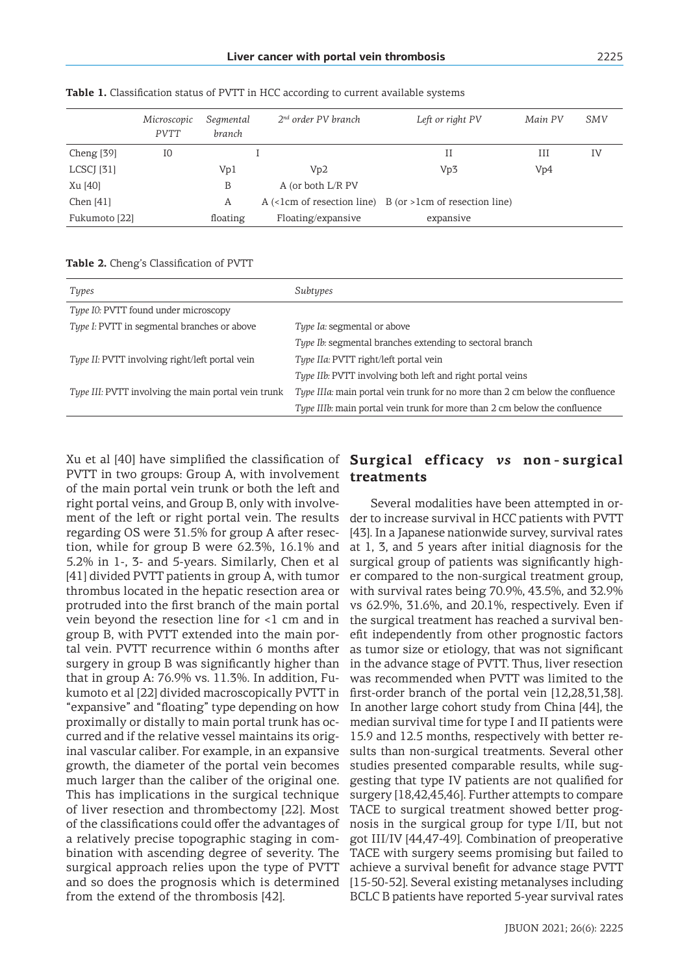|               | Microscopic | Segmental | $2nd$ order PV branch | Left or right PV                                                 | Main PV | SMV |
|---------------|-------------|-----------|-----------------------|------------------------------------------------------------------|---------|-----|
|               | <b>PVTT</b> | branch    |                       |                                                                  |         |     |
| Cheng $[39]$  | I0          |           |                       | Н                                                                | Ш       | IV  |
| LCSCJ [31]    |             | Vp1       | Vp2                   | Vp3                                                              | Vp4     |     |
| Xu [40]       |             | B         | A (or both L/R PV     |                                                                  |         |     |
| Chen $[41]$   |             | Α         |                       | A $(\leq lcm$ of resection line) B (or $>lcm$ of resection line) |         |     |
| Fukumoto [22] |             | floating  | Floating/expansive    | expansive                                                        |         |     |

**Table 1.** Classification status of PVTT in HCC according to current available systems

|  |  | Table 2. Cheng's Classification of PVTT |  |  |  |  |
|--|--|-----------------------------------------|--|--|--|--|
|--|--|-----------------------------------------|--|--|--|--|

| Types                                                      | Subtypes                                                                         |  |  |  |
|------------------------------------------------------------|----------------------------------------------------------------------------------|--|--|--|
| Type I0: PVTT found under microscopy                       |                                                                                  |  |  |  |
| <i>Type I:</i> PVTT in segmental branches or above         | <i>Type Ia: segmental or above</i>                                               |  |  |  |
|                                                            | <i>Type Ib:</i> segmental branches extending to sectoral branch                  |  |  |  |
| <i>Type II:</i> PVTT involving right/left portal vein      | Type IIa: PVTT right/left portal vein                                            |  |  |  |
|                                                            | <i>Type IIb:</i> PVTT involving both left and right portal veins                 |  |  |  |
| <i>Type III:</i> PVTT involving the main portal vein trunk | Type IIIa: main portal vein trunk for no more than 2 cm below the confluence     |  |  |  |
|                                                            | <i>Type IIIb:</i> main portal vein trunk for more than 2 cm below the confluence |  |  |  |

Xu et al [40] have simplified the classification of PVTT in two groups: Group A, with involvement of the main portal vein trunk or both the left and right portal veins, and Group B, only with involvement of the left or right portal vein. The results regarding OS were 31.5% for group A after resection, while for group B were 62.3%, 16.1% and 5.2% in 1-, 3- and 5-years. Similarly, Chen et al [41] divided PVTT patients in group A, with tumor thrombus located in the hepatic resection area or protruded into the first branch of the main portal vein beyond the resection line for <1 cm and in group B, with PVTT extended into the main portal vein. PVTT recurrence within 6 months after surgery in group B was significantly higher than that in group A: 76.9% vs. 11.3%. In addition, Fukumoto et al [22] divided macroscopically PVTT in "expansive" and "floating" type depending on how proximally or distally to main portal trunk has occurred and if the relative vessel maintains its original vascular caliber. For example, in an expansive growth, the diameter of the portal vein becomes much larger than the caliber of the original one. This has implications in the surgical technique of liver resection and thrombectomy [22]. Most of the classifications could offer the advantages of a relatively precise topographic staging in combination with ascending degree of severity. The surgical approach relies upon the type of PVTT and so does the prognosis which is determined from the extend of the thrombosis [42].

# **Surgical efficacy** *vs* **non - surgical treatments**

Several modalities have been attempted in order to increase survival in HCC patients with PVTT [43]. Ιn a Japanese nationwide survey, survival rates at 1, 3, and 5 years after initial diagnosis for the surgical group of patients was significantly higher compared to the non-surgical treatment group, with survival rates being 70.9%, 43.5%, and 32.9% vs 62.9%, 31.6%, and 20.1%, respectively. Even if the surgical treatment has reached a survival benefit independently from other prognostic factors as tumor size or etiology, that was not significant in the advance stage of PVTT. Thus, liver resection was recommended when PVTT was limited to the first-order branch of the portal vein [12,28,31,38]. In another large cohort study from China [44], the median survival time for type I and II patients were 15.9 and 12.5 months, respectively with better results than non-surgical treatments. Several other studies presented comparable results, while suggesting that type IV patients are not qualified for surgery [18,42,45,46]. Further attempts to compare TACE to surgical treatment showed better prognosis in the surgical group for type I/II, but not got III/IV [44,47-49]. Combination of preoperative TACE with surgery seems promising but failed to achieve a survival benefit for advance stage PVTT [15-50-52]. Several existing metanalyses including BCLC B patients have reported 5-year survival rates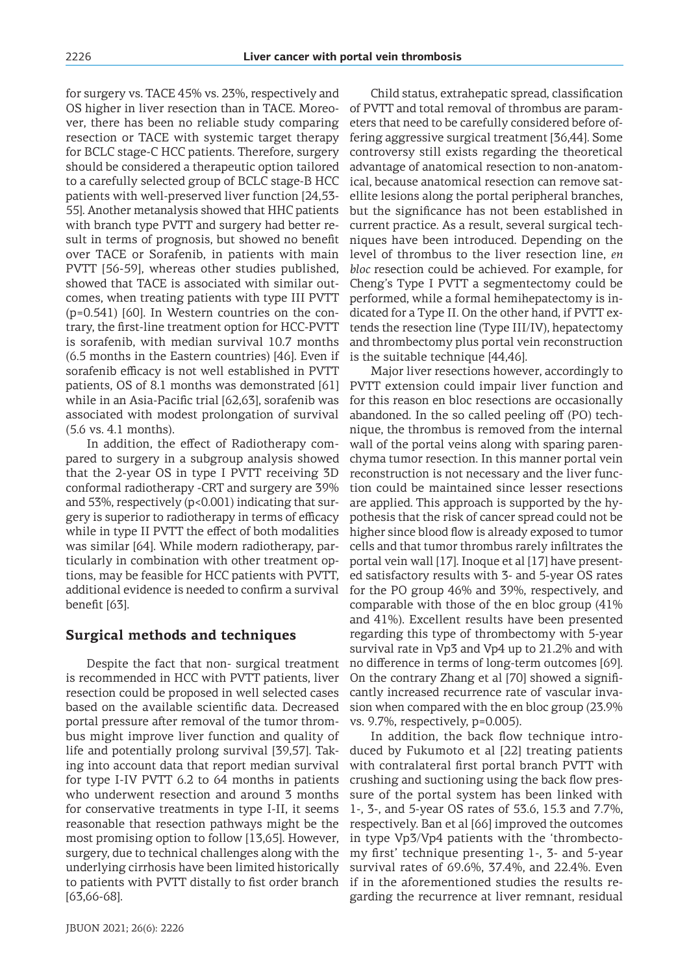for surgery vs. TACE 45% vs. 23%, respectively and OS higher in liver resection than in TACE. Moreover, there has been no reliable study comparing resection or TACE with systemic target therapy for BCLC stage-C HCC patients. Therefore, surgery should be considered a therapeutic option tailored to a carefully selected group of BCLC stage-B HCC patients with well-preserved liver function [24,53- 55]. Another metanalysis showed that HHC patients with branch type PVTT and surgery had better result in terms of prognosis, but showed no benefit over TACE or Sorafenib, in patients with main PVTT [56-59], whereas other studies published, showed that TACE is associated with similar outcomes, when treating patients with type III PVTT (p=0.541) [60]. In Western countries on the contrary, the first-line treatment option for HCC-PVTT is sorafenib, with median survival 10.7 months (6.5 months in the Eastern countries) [46]. Even if sorafenib efficacy is not well established in PVTT patients, OS of 8.1 months was demonstrated [61] while in an Asia-Pacific trial [62,63], sorafenib was associated with modest prolongation of survival (5.6 vs. 4.1 months).

In addition, the effect of Radiotherapy compared to surgery in a subgroup analysis showed that the 2-year OS in type I PVTT receiving 3D conformal radiotherapy -CRT and surgery are 39% and 53%, respectively  $(p<0.001)$  indicating that surgery is superior to radiotherapy in terms of efficacy while in type II PVTT the effect of both modalities was similar [64]. While modern radiotherapy, particularly in combination with other treatment options, may be feasible for HCC patients with PVTT, additional evidence is needed to confirm a survival benefit [63].

### **Surgical methods and techniques**

Despite the fact that non- surgical treatment is recommended in HCC with PVTT patients, liver resection could be proposed in well selected cases based on the available scientific data. Decreased portal pressure after removal of the tumor thrombus might improve liver function and quality of life and potentially prolong survival [39,57]. Taking into account data that report median survival for type I-IV PVTT 6.2 to 64 months in patients who underwent resection and around 3 months for conservative treatments in type I-II, it seems reasonable that resection pathways might be the most promising option to follow [13,65]. However, surgery, due to technical challenges along with the underlying cirrhosis have been limited historically to patients with PVTT distally to fist order branch [63,66-68].

Child status, extrahepatic spread, classification of PVTT and total removal of thrombus are parameters that need to be carefully considered before offering aggressive surgical treatment [36,44]. Some controversy still exists regarding the theoretical advantage of anatomical resection to non-anatomical, because anatomical resection can remove satellite lesions along the portal peripheral branches, but the significance has not been established in current practice. As a result, several surgical techniques have been introduced. Depending on the level of thrombus to the liver resection line, *en bloc* resection could be achieved. For example, for Cheng's Type I PVTT a segmentectomy could be performed, while a formal hemihepatectomy is indicated for a Type II. On the other hand, if PVTT extends the resection line (Type III/IV), hepatectomy and thrombectomy plus portal vein reconstruction is the suitable technique [44,46].

Major liver resections however, accordingly to PVTT extension could impair liver function and for this reason en bloc resections are occasionally abandoned. In the so called peeling off (PO) technique, the thrombus is removed from the internal wall of the portal veins along with sparing parenchyma tumor resection. In this manner portal vein reconstruction is not necessary and the liver function could be maintained since lesser resections are applied. This approach is supported by the hypothesis that the risk of cancer spread could not be higher since blood flow is already exposed to tumor cells and that tumor thrombus rarely infiltrates the portal vein wall [17]. Inoque et al [17] have presented satisfactory results with 3- and 5-year OS rates for the PO group 46% and 39%, respectively, and comparable with those of the en bloc group (41% and 41%). Excellent results have been presented regarding this type of thrombectomy with 5-year survival rate in Vp3 and Vp4 up to 21.2% and with no difference in terms of long-term outcomes [69]. On the contrary Zhang et al [70] showed a significantly increased recurrence rate of vascular invasion when compared with the en bloc group (23.9% vs. 9.7%, respectively, p=0.005).

In addition, the back flow technique introduced by Fukumoto et al [22] treating patients with contralateral first portal branch PVTT with crushing and suctioning using the back flow pressure of the portal system has been linked with 1-, 3-, and 5-year OS rates of 53.6, 15.3 and 7.7%, respectively. Ban et al [66] improved the outcomes in type Vp3/Vp4 patients with the 'thrombectomy first' technique presenting 1-, 3- and 5-year survival rates of 69.6%, 37.4%, and 22.4%. Even if in the aforementioned studies the results regarding the recurrence at liver remnant, residual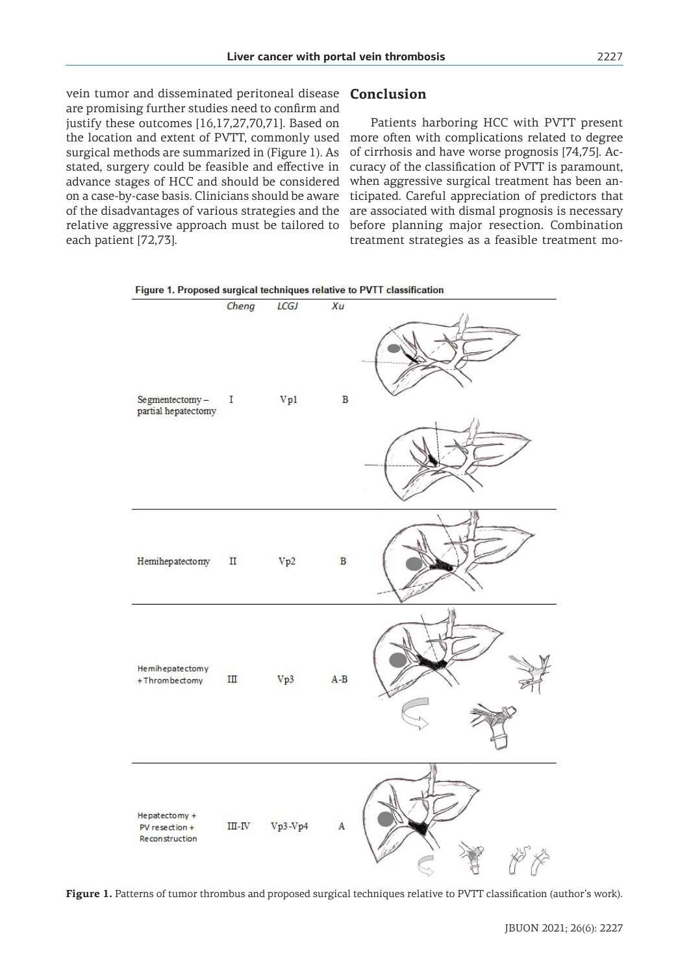vein tumor and disseminated peritoneal disease are promising further studies need to confirm and justify these outcomes [16,17,27,70,71]. Based on the location and extent of PVTT, commonly used more often with complications related to degree surgical methods are summarized in (Figure 1). As stated, surgery could be feasible and effective in advance stages of HCC and should be considered on a case-by-case basis. Clinicians should be aware of the disadvantages of various strategies and the relative aggressive approach must be tailored to each patient [72,73].

### **Conclusion**

Patients harboring HCC with PVTT present of cirrhosis and have worse prognosis [74,75]. Accuracy of the classification of PVTT is paramount, when aggressive surgical treatment has been anticipated. Careful appreciation of predictors that are associated with dismal prognosis is necessary before planning major resection. Combination treatment strategies as a feasible treatment mo-



**Figure 1.** Patterns of tumor thrombus and proposed surgical techniques relative to PVTT classification (author's work).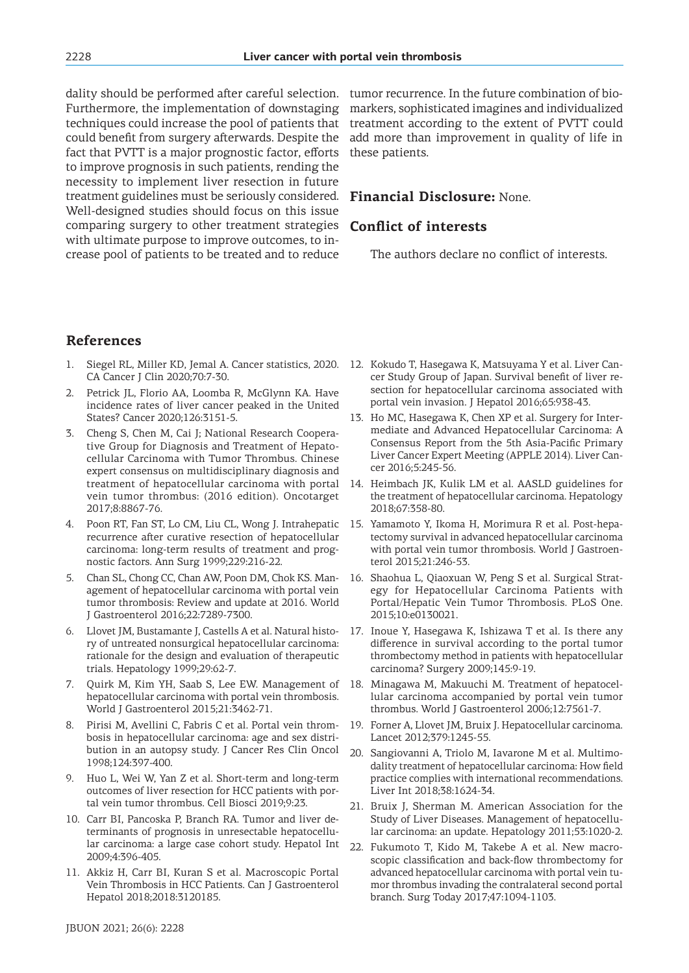dality should be performed after careful selection. Furthermore, the implementation of downstaging techniques could increase the pool of patients that could benefit from surgery afterwards. Despite the fact that PVTT is a major prognostic factor, efforts to improve prognosis in such patients, rending the necessity to implement liver resection in future treatment guidelines must be seriously considered. Well-designed studies should focus on this issue comparing surgery to other treatment strategies with ultimate purpose to improve outcomes, to increase pool of patients to be treated and to reduce

tumor recurrence. In the future combination of biomarkers, sophisticated imagines and individualized treatment according to the extent of PVTT could add more than improvement in quality of life in these patients.

## **Financial Disclosure:** None.

#### **Conflict of interests**

The authors declare no conflict of interests.

## **References**

- 1. Siegel RL, Miller KD, Jemal A. Cancer statistics, 2020. CA Cancer J Clin 2020;70:7-30.
- 2. Petrick JL, Florio AA, Loomba R, McGlynn KA. Have incidence rates of liver cancer peaked in the United States? Cancer 2020;126:3151-5.
- Cheng S, Chen M, Cai J; National Research Cooperative Group for Diagnosis and Treatment of Hepatocellular Carcinoma with Tumor Thrombus. Chinese expert consensus on multidisciplinary diagnosis and treatment of hepatocellular carcinoma with portal vein tumor thrombus: (2016 edition). Oncotarget 2017;8:8867-76.
- 4. Poon RT, Fan ST, Lo CM, Liu CL, Wong J. Intrahepatic recurrence after curative resection of hepatocellular carcinoma: long-term results of treatment and prognostic factors. Ann Surg 1999;229:216-22.
- 5. Chan SL, Chong CC, Chan AW, Poon DM, Chok KS. Management of hepatocellular carcinoma with portal vein tumor thrombosis: Review and update at 2016. World J Gastroenterol 2016;22:7289-7300.
- 6. Llovet JM, Bustamante J, Castells A et al. Natural history of untreated nonsurgical hepatocellular carcinoma: rationale for the design and evaluation of therapeutic trials. Hepatology 1999;29:62-7.
- 7. Quirk M, Kim YH, Saab S, Lee EW. Management of hepatocellular carcinoma with portal vein thrombosis. World J Gastroenterol 2015;21:3462-71.
- 8. Pirisi M, Avellini C, Fabris C et al. Portal vein thrombosis in hepatocellular carcinoma: age and sex distribution in an autopsy study. J Cancer Res Clin Oncol 1998;124:397-400.
- 9. Huo L, Wei W, Yan Z et al. Short-term and long-term outcomes of liver resection for HCC patients with portal vein tumor thrombus. Cell Biosci 2019;9:23.
- 10. Carr BI, Pancoska P, Branch RA. Tumor and liver determinants of prognosis in unresectable hepatocellular carcinoma: a large case cohort study. Hepatol Int 2009;4:396-405.
- 11. Akkiz H, Carr BI, Kuran S et al. Macroscopic Portal Vein Thrombosis in HCC Patients. Can J Gastroenterol Hepatol 2018;2018:3120185.
- 12. Kokudo T, Hasegawa K, Matsuyama Y et al. Liver Cancer Study Group of Japan. Survival benefit of liver resection for hepatocellular carcinoma associated with portal vein invasion. J Hepatol 2016;65:938-43.
- 13. Ho MC, Hasegawa K, Chen XP et al. Surgery for Intermediate and Advanced Hepatocellular Carcinoma: A Consensus Report from the 5th Asia-Pacific Primary Liver Cancer Expert Meeting (APPLE 2014). Liver Cancer 2016;5:245-56.
- 14. Heimbach JK, Kulik LM et al. AASLD guidelines for the treatment of hepatocellular carcinoma. Hepatology 2018;67:358-80.
- 15. Yamamoto Y, Ikoma H, Morimura R et al. Post-hepatectomy survival in advanced hepatocellular carcinoma with portal vein tumor thrombosis. World J Gastroenterol 2015;21:246-53.
- 16. Shaohua L, Qiaoxuan W, Peng S et al. Surgical Strategy for Hepatocellular Carcinoma Patients with Portal/Hepatic Vein Tumor Thrombosis. PLoS One. 2015;10:e0130021.
- 17. Inoue Y, Hasegawa K, Ishizawa T et al. Is there any difference in survival according to the portal tumor thrombectomy method in patients with hepatocellular carcinoma? Surgery 2009;145:9-19.
- 18. Minagawa M, Makuuchi M. Treatment of hepatocellular carcinoma accompanied by portal vein tumor thrombus. World J Gastroenterol 2006;12:7561-7.
- 19. Forner A, Llovet JM, Bruix J. Hepatocellular carcinoma. Lancet 2012;379:1245-55.
- 20. Sangiovanni A, Triolo M, Iavarone M et al. Multimodality treatment of hepatocellular carcinoma: How field practice complies with international recommendations. Liver Int 2018;38:1624-34.
- 21. Bruix J, Sherman M. American Association for the Study of Liver Diseases. Management of hepatocellular carcinoma: an update. Hepatology 2011;53:1020-2.
- 22. Fukumoto T, Kido M, Takebe A et al. New macroscopic classification and back-flow thrombectomy for advanced hepatocellular carcinoma with portal vein tumor thrombus invading the contralateral second portal branch. Surg Today 2017;47:1094-1103.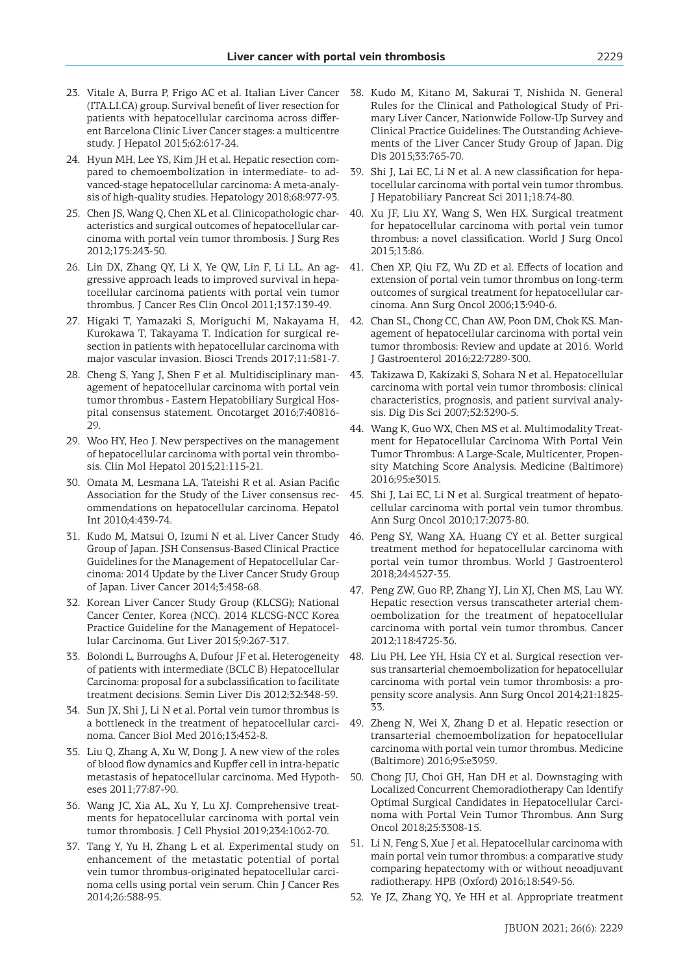- 23. Vitale A, Burra P, Frigo AC et al. Italian Liver Cancer (ITA.LI.CA) group. Survival benefit of liver resection for patients with hepatocellular carcinoma across different Barcelona Clinic Liver Cancer stages: a multicentre study. J Hepatol 2015;62:617-24.
- 24. Hyun MH, Lee YS, Kim JH et al. Hepatic resection compared to chemoembolization in intermediate- to advanced-stage hepatocellular carcinoma: A meta-analysis of high-quality studies. Hepatology 2018;68:977-93.
- 25. Chen JS, Wang Q, Chen XL et al. Clinicopathologic characteristics and surgical outcomes of hepatocellular carcinoma with portal vein tumor thrombosis. J Surg Res 2012;175:243-50.
- 26. Lin DX, Zhang QY, Li X, Ye QW, Lin F, Li LL. An aggressive approach leads to improved survival in hepatocellular carcinoma patients with portal vein tumor thrombus. J Cancer Res Clin Oncol 2011;137:139-49.
- 27. Higaki T, Yamazaki S, Moriguchi M, Nakayama H, Kurokawa T, Takayama T. Indication for surgical resection in patients with hepatocellular carcinoma with major vascular invasion. Biosci Trends 2017;11:581-7.
- 28. Cheng S, Yang J, Shen F et al. Multidisciplinary management of hepatocellular carcinoma with portal vein tumor thrombus - Eastern Hepatobiliary Surgical Hospital consensus statement. Oncotarget 2016;7:40816- 29.
- 29. Woo HY, Heo J. New perspectives on the management of hepatocellular carcinoma with portal vein thrombosis. Clin Mol Hepatol 2015;21:115-21.
- 30. Omata M, Lesmana LA, Tateishi R et al. Asian Pacific Association for the Study of the Liver consensus recommendations on hepatocellular carcinoma. Hepatol Int 2010;4:439-74.
- 31. Kudo M, Matsui O, Izumi N et al. Liver Cancer Study Group of Japan. JSH Consensus-Based Clinical Practice Guidelines for the Management of Hepatocellular Carcinoma: 2014 Update by the Liver Cancer Study Group of Japan. Liver Cancer 2014;3:458-68.
- 32. Korean Liver Cancer Study Group (KLCSG); National Cancer Center, Korea (NCC). 2014 KLCSG-NCC Korea Practice Guideline for the Management of Hepatocellular Carcinoma. Gut Liver 2015;9:267-317.
- 33. Bolondi L, Burroughs A, Dufour JF et al. Heterogeneity of patients with intermediate (BCLC B) Hepatocellular Carcinoma: proposal for a subclassification to facilitate treatment decisions. Semin Liver Dis 2012;32:348-59.
- 34. Sun JX, Shi J, Li N et al. Portal vein tumor thrombus is a bottleneck in the treatment of hepatocellular carcinoma. Cancer Biol Med 2016;13:452-8.
- 35. Liu Q, Zhang A, Xu W, Dong J. A new view of the roles of blood flow dynamics and Kupffer cell in intra-hepatic metastasis of hepatocellular carcinoma. Med Hypotheses 2011;77:87-90.
- 36. Wang JC, Xia AL, Xu Y, Lu XJ. Comprehensive treatments for hepatocellular carcinoma with portal vein tumor thrombosis. J Cell Physiol 2019;234:1062-70.
- 37. Tang Y, Yu H, Zhang L et al. Experimental study on enhancement of the metastatic potential of portal vein tumor thrombus-originated hepatocellular carcinoma cells using portal vein serum. Chin J Cancer Res 2014;26:588-95.
- 38. Kudo M, Kitano M, Sakurai T, Nishida N. General Rules for the Clinical and Pathological Study of Primary Liver Cancer, Nationwide Follow-Up Survey and Clinical Practice Guidelines: The Outstanding Achievements of the Liver Cancer Study Group of Japan. Dig Dis 2015;33:765-70.
- 39. Shi J, Lai EC, Li N et al. A new classification for hepatocellular carcinoma with portal vein tumor thrombus. J Hepatobiliary Pancreat Sci 2011;18:74-80.
- 40. Xu JF, Liu XY, Wang S, Wen HX. Surgical treatment for hepatocellular carcinoma with portal vein tumor thrombus: a novel classification. World J Surg Oncol 2015;13:86.
- 41. Chen XP, Qiu FZ, Wu ZD et al. Effects of location and extension of portal vein tumor thrombus on long-term outcomes of surgical treatment for hepatocellular carcinoma. Ann Surg Oncol 2006;13:940-6.
- 42. Chan SL, Chong CC, Chan AW, Poon DM, Chok KS. Management of hepatocellular carcinoma with portal vein tumor thrombosis: Review and update at 2016. World J Gastroenterol 2016;22:7289-300.
- 43. Takizawa D, Kakizaki S, Sohara N et al. Hepatocellular carcinoma with portal vein tumor thrombosis: clinical characteristics, prognosis, and patient survival analysis. Dig Dis Sci 2007;52:3290-5.
- 44. Wang K, Guo WX, Chen MS et al. Multimodality Treatment for Hepatocellular Carcinoma With Portal Vein Tumor Thrombus: A Large-Scale, Multicenter, Propensity Matching Score Analysis. Medicine (Baltimore) 2016;95:e3015.
- 45. Shi J, Lai EC, Li N et al. Surgical treatment of hepatocellular carcinoma with portal vein tumor thrombus. Ann Surg Oncol 2010;17:2073-80.
- 46. Peng SY, Wang XA, Huang CY et al. Better surgical treatment method for hepatocellular carcinoma with portal vein tumor thrombus. World J Gastroenterol 2018;24:4527-35.
- 47. Peng ZW, Guo RP, Zhang YJ, Lin XJ, Chen MS, Lau WY. Hepatic resection versus transcatheter arterial chemoembolization for the treatment of hepatocellular carcinoma with portal vein tumor thrombus. Cancer 2012;118:4725-36.
- 48. Liu PH, Lee YH, Hsia CY et al. Surgical resection versus transarterial chemoembolization for hepatocellular carcinoma with portal vein tumor thrombosis: a propensity score analysis. Ann Surg Oncol 2014;21:1825- 33.
- 49. Zheng N, Wei X, Zhang D et al. Hepatic resection or transarterial chemoembolization for hepatocellular carcinoma with portal vein tumor thrombus. Medicine (Baltimore) 2016;95:e3959.
- 50. Chong JU, Choi GH, Han DH et al. Downstaging with Localized Concurrent Chemoradiotherapy Can Identify Optimal Surgical Candidates in Hepatocellular Carcinoma with Portal Vein Tumor Thrombus. Ann Surg Oncol 2018;25:3308-15.
- 51. Li N, Feng S, Xue J et al. Hepatocellular carcinoma with main portal vein tumor thrombus: a comparative study comparing hepatectomy with or without neoadjuvant radiotherapy. HPB (Oxford) 2016;18:549-56.
- 52. Ye JZ, Zhang YQ, Ye HH et al. Appropriate treatment